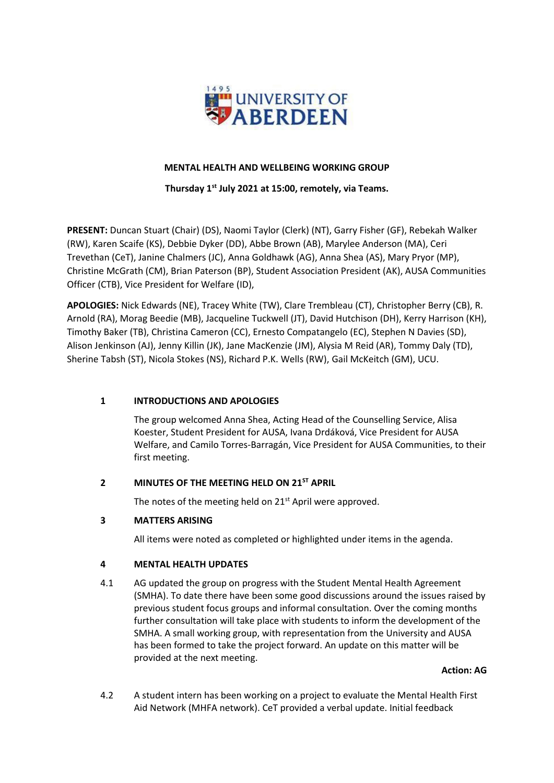

# **MENTAL HEALTH AND WELLBEING WORKING GROUP**

# **Thursday 1st July 2021 at 15:00, remotely, via Teams.**

**PRESENT:** Duncan Stuart (Chair) (DS), Naomi Taylor (Clerk) (NT), Garry Fisher (GF), Rebekah Walker (RW), Karen Scaife (KS), Debbie Dyker (DD), Abbe Brown (AB), Marylee Anderson (MA), Ceri Trevethan (CeT), Janine Chalmers (JC), Anna Goldhawk (AG), Anna Shea (AS), Mary Pryor (MP), Christine McGrath (CM), Brian Paterson (BP), Student Association President (AK), AUSA Communities Officer (CTB), Vice President for Welfare (ID),

**APOLOGIES:** Nick Edwards (NE), Tracey White (TW), Clare Trembleau (CT), Christopher Berry (CB), R. Arnold (RA), Morag Beedie (MB), Jacqueline Tuckwell (JT), David Hutchison (DH), Kerry Harrison (KH), Timothy Baker (TB), Christina Cameron (CC), Ernesto Compatangelo (EC), Stephen N Davies (SD), Alison Jenkinson (AJ), Jenny Killin (JK), Jane MacKenzie (JM), Alysia M Reid (AR), Tommy Daly (TD), Sherine Tabsh (ST), Nicola Stokes (NS), Richard P.K. Wells (RW), Gail McKeitch (GM), UCU.

# **1 INTRODUCTIONS AND APOLOGIES**

The group welcomed Anna Shea, Acting Head of the Counselling Service, Alisa Koester, Student President for AUSA, Ivana Drdáková, Vice President for AUSA Welfare, and Camilo Torres-Barragán, Vice President for AUSA Communities, to their first meeting.

# **2 MINUTES OF THE MEETING HELD ON 21ST APRIL**

The notes of the meeting held on 21<sup>st</sup> April were approved.

# **3 MATTERS ARISING**

All items were noted as completed or highlighted under items in the agenda.

### **4 MENTAL HEALTH UPDATES**

4.1 AG updated the group on progress with the Student Mental Health Agreement (SMHA). To date there have been some good discussions around the issues raised by previous student focus groups and informal consultation. Over the coming months further consultation will take place with students to inform the development of the SMHA. A small working group, with representation from the University and AUSA has been formed to take the project forward. An update on this matter will be provided at the next meeting.

#### **Action: AG**

4.2 A student intern has been working on a project to evaluate the Mental Health First Aid Network (MHFA network). CeT provided a verbal update. Initial feedback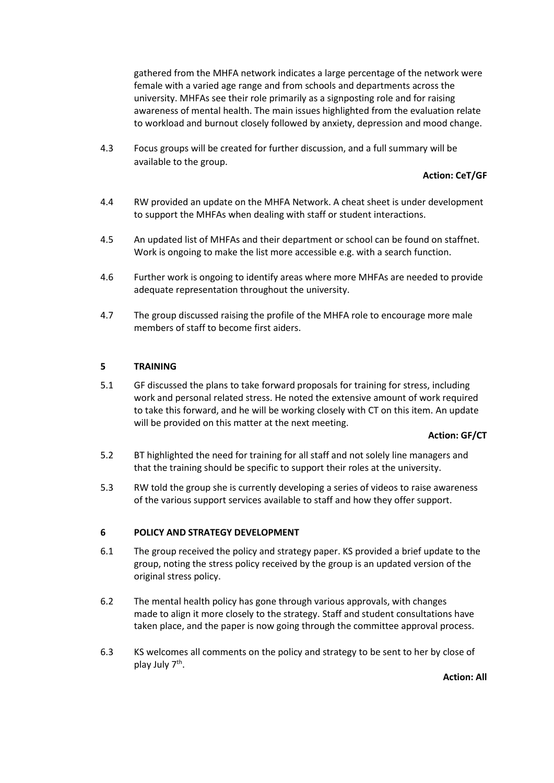gathered from the MHFA network indicates a large percentage of the network were female with a varied age range and from schools and departments across the university. MHFAs see their role primarily as a signposting role and for raising awareness of mental health. The main issues highlighted from the evaluation relate to workload and burnout closely followed by anxiety, depression and mood change.

4.3 Focus groups will be created for further discussion, and a full summary will be available to the group.

# **Action: CeT/GF**

- 4.4 RW provided an update on the MHFA Network. A cheat sheet is under development to support the MHFAs when dealing with staff or student interactions.
- 4.5 An updated list of MHFAs and their department or school can be found on staffnet. Work is ongoing to make the list more accessible e.g. with a search function.
- 4.6 Further work is ongoing to identify areas where more MHFAs are needed to provide adequate representation throughout the university.
- 4.7 The group discussed raising the profile of the MHFA role to encourage more male members of staff to become first aiders.

### **5 TRAINING**

5.1 GF discussed the plans to take forward proposals for training for stress, including work and personal related stress. He noted the extensive amount of work required to take this forward, and he will be working closely with CT on this item. An update will be provided on this matter at the next meeting.

#### **Action: GF/CT**

- 5.2 BT highlighted the need for training for all staff and not solely line managers and that the training should be specific to support their roles at the university.
- 5.3 RW told the group she is currently developing a series of videos to raise awareness of the various support services available to staff and how they offer support.

### **6 POLICY AND STRATEGY DEVELOPMENT**

- 6.1 The group received the policy and strategy paper. KS provided a brief update to the group, noting the stress policy received by the group is an updated version of the original stress policy.
- 6.2 The mental health policy has gone through various approvals, with changes made to align it more closely to the strategy. Staff and student consultations have taken place, and the paper is now going through the committee approval process.
- 6.3 KS welcomes all comments on the policy and strategy to be sent to her by close of play July 7<sup>th</sup>.

**Action: All**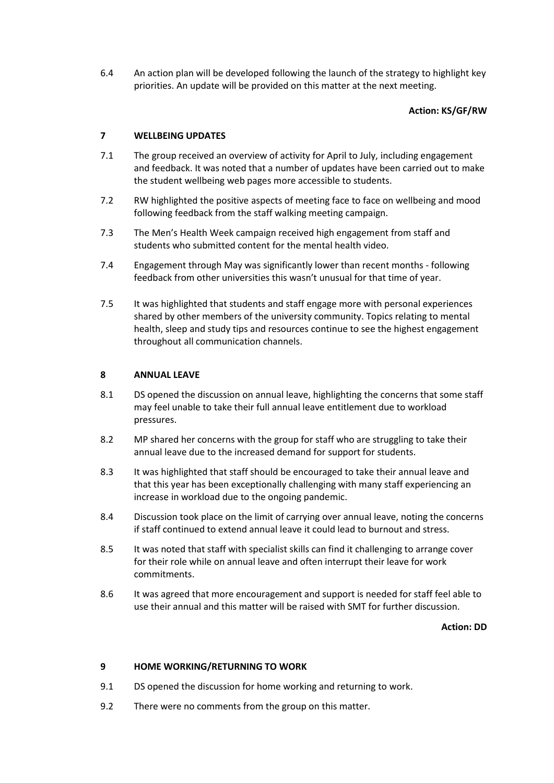6.4 An action plan will be developed following the launch of the strategy to highlight key priorities. An update will be provided on this matter at the next meeting.

# **Action: KS/GF/RW**

# **7 WELLBEING UPDATES**

- 7.1 The group received an overview of activity for April to July, including engagement and feedback. It was noted that a number of updates have been carried out to make the student wellbeing web pages more accessible to students.
- 7.2 RW highlighted the positive aspects of meeting face to face on wellbeing and mood following feedback from the staff walking meeting campaign.
- 7.3 The Men's Health Week campaign received high engagement from staff and students who submitted content for the mental health video.
- 7.4 Engagement through May was significantly lower than recent months following feedback from other universities this wasn't unusual for that time of year.
- 7.5 It was highlighted that students and staff engage more with personal experiences shared by other members of the university community. Topics relating to mental health, sleep and study tips and resources continue to see the highest engagement throughout all communication channels.

# **8 ANNUAL LEAVE**

- 8.1 DS opened the discussion on annual leave, highlighting the concerns that some staff may feel unable to take their full annual leave entitlement due to workload pressures.
- 8.2 MP shared her concerns with the group for staff who are struggling to take their annual leave due to the increased demand for support for students.
- 8.3 It was highlighted that staff should be encouraged to take their annual leave and that this year has been exceptionally challenging with many staff experiencing an increase in workload due to the ongoing pandemic.
- 8.4 Discussion took place on the limit of carrying over annual leave, noting the concerns if staff continued to extend annual leave it could lead to burnout and stress.
- 8.5 It was noted that staff with specialist skills can find it challenging to arrange cover for their role while on annual leave and often interrupt their leave for work commitments.
- 8.6 It was agreed that more encouragement and support is needed for staff feel able to use their annual and this matter will be raised with SMT for further discussion.

**Action: DD**

### **9 HOME WORKING/RETURNING TO WORK**

- 9.1 DS opened the discussion for home working and returning to work.
- 9.2 There were no comments from the group on this matter.